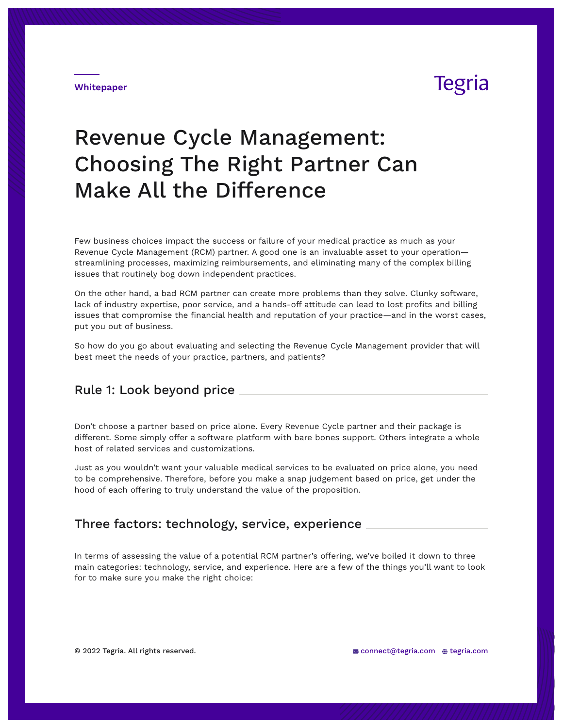# **Tegria**

#### **Whitepaper**

# Revenue Cycle Management: Choosing The Right Partner Can Make All the Difference

Few business choices impact the success or failure of your medical practice as much as your Revenue Cycle Management (RCM) partner. A good one is an invaluable asset to your operation streamlining processes, maximizing reimbursements, and eliminating many of the complex billing issues that routinely bog down independent practices.

On the other hand, a bad RCM partner can create more problems than they solve. Clunky software, lack of industry expertise, poor service, and a hands-off attitude can lead to lost profits and billing issues that compromise the financial health and reputation of your practice—and in the worst cases, put you out of business.

So how do you go about evaluating and selecting the Revenue Cycle Management provider that will best meet the needs of your practice, partners, and patients?

### Rule 1: Look beyond price

Don't choose a partner based on price alone. Every Revenue Cycle partner and their package is different. Some simply offer a software platform with bare bones support. Others integrate a whole host of related services and customizations.

Just as you wouldn't want your valuable medical services to be evaluated on price alone, you need to be comprehensive. Therefore, before you make a snap judgement based on price, get under the hood of each offering to truly understand the value of the proposition.

### Three factors: technology, service, experience

In terms of assessing the value of a potential RCM partner's offering, we've boiled it down to three main categories: technology, service, and experience. Here are a few of the things you'll want to look for to make sure you make the right choice: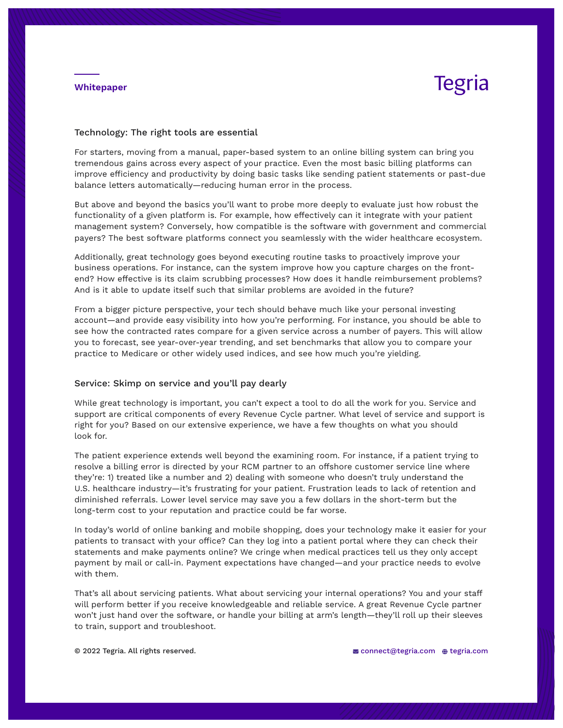#### **Whitepaper**

## **Tegria**

#### Technology: The right tools are essential

For starters, moving from a manual, paper-based system to an online billing system can bring you tremendous gains across every aspect of your practice. Even the most basic billing platforms can improve efficiency and productivity by doing basic tasks like sending patient statements or past-due balance letters automatically—reducing human error in the process.

But above and beyond the basics you'll want to probe more deeply to evaluate just how robust the functionality of a given platform is. For example, how effectively can it integrate with your patient management system? Conversely, how compatible is the software with government and commercial payers? The best software platforms connect you seamlessly with the wider healthcare ecosystem.

Additionally, great technology goes beyond executing routine tasks to proactively improve your business operations. For instance, can the system improve how you capture charges on the frontend? How effective is its claim scrubbing processes? How does it handle reimbursement problems? And is it able to update itself such that similar problems are avoided in the future?

From a bigger picture perspective, your tech should behave much like your personal investing account—and provide easy visibility into how you're performing. For instance, you should be able to see how the contracted rates compare for a given service across a number of payers. This will allow you to forecast, see year-over-year trending, and set benchmarks that allow you to compare your practice to Medicare or other widely used indices, and see how much you're yielding.

#### Service: Skimp on service and you'll pay dearly

While great technology is important, you can't expect a tool to do all the work for you. Service and support are critical components of every Revenue Cycle partner. What level of service and support is right for you? Based on our extensive experience, we have a few thoughts on what you should look for.

The patient experience extends well beyond the examining room. For instance, if a patient trying to resolve a billing error is directed by your RCM partner to an offshore customer service line where they're: 1) treated like a number and 2) dealing with someone who doesn't truly understand the U.S. healthcare industry—it's frustrating for your patient. Frustration leads to lack of retention and diminished referrals. Lower level service may save you a few dollars in the short-term but the long-term cost to your reputation and practice could be far worse.

In today's world of online banking and mobile shopping, does your technology make it easier for your patients to transact with your office? Can they log into a patient portal where they can check their statements and make payments online? We cringe when medical practices tell us they only accept payment by mail or call-in. Payment expectations have changed—and your practice needs to evolve with them.

That's all about servicing patients. What about servicing your internal operations? You and your staff will perform better if you receive knowledgeable and reliable service. A great Revenue Cycle partner won't just hand over the software, or handle your billing at arm's length—they'll roll up their sleeves to train, support and troubleshoot.